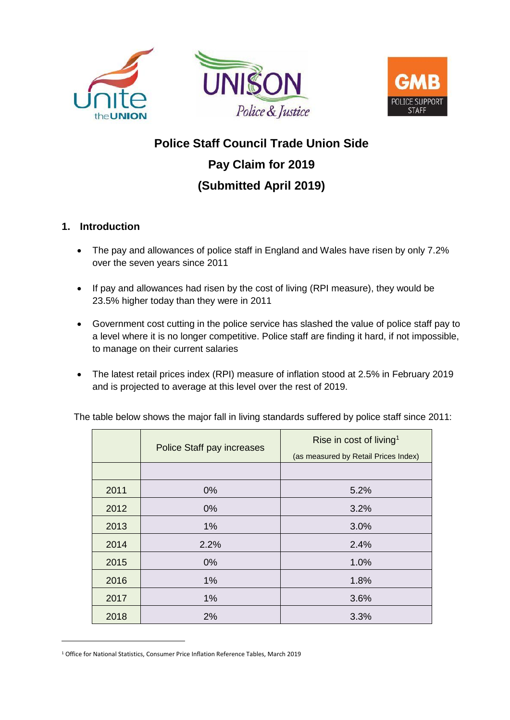





# **Police Staff Council Trade Union Side Pay Claim for 2019 (Submitted April 2019)**

# **1. Introduction**

-

- The pay and allowances of police staff in England and Wales have risen by only 7.2% over the seven years since 2011
- If pay and allowances had risen by the cost of living (RPI measure), they would be 23.5% higher today than they were in 2011
- Government cost cutting in the police service has slashed the value of police staff pay to a level where it is no longer competitive. Police staff are finding it hard, if not impossible, to manage on their current salaries
- The latest retail prices index (RPI) measure of inflation stood at 2.5% in February 2019 and is projected to average at this level over the rest of 2019.

|      | Police Staff pay increases | Rise in cost of living <sup>1</sup><br>(as measured by Retail Prices Index) |  |
|------|----------------------------|-----------------------------------------------------------------------------|--|
|      |                            |                                                                             |  |
| 2011 | $0\%$                      | 5.2%                                                                        |  |
| 2012 | $0\%$                      | 3.2%                                                                        |  |
| 2013 | $1\%$                      | 3.0%                                                                        |  |
| 2014 | 2.2%                       | 2.4%                                                                        |  |
| 2015 | $0\%$                      | 1.0%                                                                        |  |
| 2016 | $1\%$                      | 1.8%                                                                        |  |
| 2017 | 1%                         | 3.6%                                                                        |  |
| 2018 | 2%                         | 3.3%                                                                        |  |

The table below shows the major fall in living standards suffered by police staff since 2011:

<sup>&</sup>lt;sup>1</sup> Office for National Statistics, Consumer Price Inflation Reference Tables, March 2019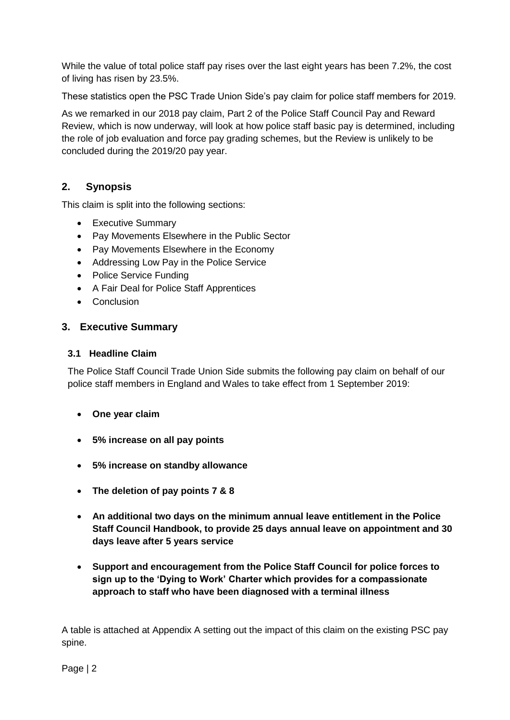While the value of total police staff pay rises over the last eight years has been 7.2%, the cost of living has risen by 23.5%.

These statistics open the PSC Trade Union Side's pay claim for police staff members for 2019.

As we remarked in our 2018 pay claim, Part 2 of the Police Staff Council Pay and Reward Review, which is now underway, will look at how police staff basic pay is determined, including the role of job evaluation and force pay grading schemes, but the Review is unlikely to be concluded during the 2019/20 pay year.

# **2. Synopsis**

This claim is split into the following sections:

- Executive Summary
- Pay Movements Elsewhere in the Public Sector
- Pay Movements Elsewhere in the Economy
- Addressing Low Pay in the Police Service
- Police Service Funding
- A Fair Deal for Police Staff Apprentices
- Conclusion

#### **3. Executive Summary**

#### **3.1 Headline Claim**

The Police Staff Council Trade Union Side submits the following pay claim on behalf of our police staff members in England and Wales to take effect from 1 September 2019:

- **One year claim**
- **5% increase on all pay points**
- **5% increase on standby allowance**
- **The deletion of pay points 7 & 8**
- **An additional two days on the minimum annual leave entitlement in the Police Staff Council Handbook, to provide 25 days annual leave on appointment and 30 days leave after 5 years service**
- **Support and encouragement from the Police Staff Council for police forces to sign up to the 'Dying to Work' Charter which provides for a compassionate approach to staff who have been diagnosed with a terminal illness**

A table is attached at Appendix A setting out the impact of this claim on the existing PSC pay spine.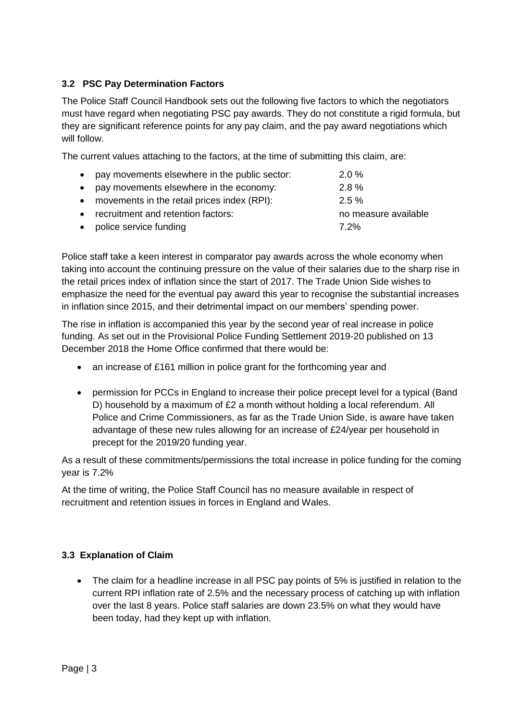#### **3.2 PSC Pay Determination Factors**

The Police Staff Council Handbook sets out the following five factors to which the negotiators must have regard when negotiating PSC pay awards. They do not constitute a rigid formula, but they are significant reference points for any pay claim, and the pay award negotiations which will follow.

The current values attaching to the factors, at the time of submitting this claim, are:

| • pay movements elsewhere in the public sector: | $2.0\%$              |
|-------------------------------------------------|----------------------|
| • pay movements elsewhere in the economy:       | $2.8\%$              |
| • movements in the retail prices index (RPI):   | $2.5 \%$             |
| • recruitment and retention factors:            | no measure available |
| • police service funding                        | 7.2%                 |

Police staff take a keen interest in comparator pay awards across the whole economy when taking into account the continuing pressure on the value of their salaries due to the sharp rise in the retail prices index of inflation since the start of 2017. The Trade Union Side wishes to emphasize the need for the eventual pay award this year to recognise the substantial increases in inflation since 2015, and their detrimental impact on our members' spending power.

The rise in inflation is accompanied this year by the second year of real increase in police funding. As set out in the Provisional Police Funding Settlement 2019-20 published on 13 December 2018 the Home Office confirmed that there would be:

- an increase of £161 million in police grant for the forthcoming year and
- permission for PCCs in England to increase their police precept level for a typical (Band D) household by a maximum of £2 a month without holding a local referendum. All Police and Crime Commissioners, as far as the Trade Union Side, is aware have taken advantage of these new rules allowing for an increase of £24/year per household in precept for the 2019/20 funding year.

As a result of these commitments/permissions the total increase in police funding for the coming year is 7.2%

At the time of writing, the Police Staff Council has no measure available in respect of recruitment and retention issues in forces in England and Wales.

#### **3.3 Explanation of Claim**

• The claim for a headline increase in all PSC pay points of 5% is justified in relation to the current RPI inflation rate of 2.5% and the necessary process of catching up with inflation over the last 8 years. Police staff salaries are down 23.5% on what they would have been today, had they kept up with inflation.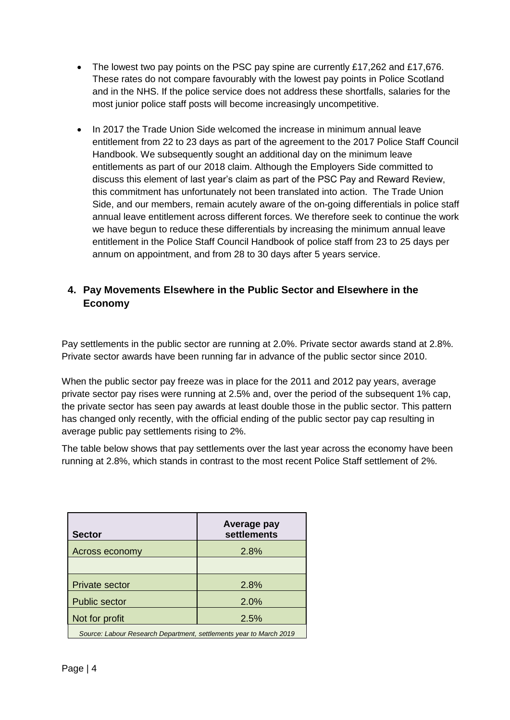- The lowest two pay points on the PSC pay spine are currently £17,262 and £17,676. These rates do not compare favourably with the lowest pay points in Police Scotland and in the NHS. If the police service does not address these shortfalls, salaries for the most junior police staff posts will become increasingly uncompetitive.
- In 2017 the Trade Union Side welcomed the increase in minimum annual leave entitlement from 22 to 23 days as part of the agreement to the 2017 Police Staff Council Handbook. We subsequently sought an additional day on the minimum leave entitlements as part of our 2018 claim. Although the Employers Side committed to discuss this element of last year's claim as part of the PSC Pay and Reward Review, this commitment has unfortunately not been translated into action. The Trade Union Side, and our members, remain acutely aware of the on-going differentials in police staff annual leave entitlement across different forces. We therefore seek to continue the work we have begun to reduce these differentials by increasing the minimum annual leave entitlement in the Police Staff Council Handbook of police staff from 23 to 25 days per annum on appointment, and from 28 to 30 days after 5 years service.

# **4. Pay Movements Elsewhere in the Public Sector and Elsewhere in the Economy**

Pay settlements in the public sector are running at 2.0%. Private sector awards stand at 2.8%. Private sector awards have been running far in advance of the public sector since 2010.

When the public sector pay freeze was in place for the 2011 and 2012 pay years, average private sector pay rises were running at 2.5% and, over the period of the subsequent 1% cap, the private sector has seen pay awards at least double those in the public sector. This pattern has changed only recently, with the official ending of the public sector pay cap resulting in average public pay settlements rising to 2%.

The table below shows that pay settlements over the last year across the economy have been running at 2.8%, which stands in contrast to the most recent Police Staff settlement of 2%.

| <b>Sector</b>                                                      | Average pay<br>settlements |  |  |
|--------------------------------------------------------------------|----------------------------|--|--|
| <b>Across economy</b>                                              | 2.8%                       |  |  |
|                                                                    |                            |  |  |
| <b>Private sector</b>                                              | 2.8%                       |  |  |
| <b>Public sector</b>                                               | 2.0%                       |  |  |
| Not for profit                                                     | 2.5%                       |  |  |
| Source: Labour Research Department, settlements year to March 2019 |                            |  |  |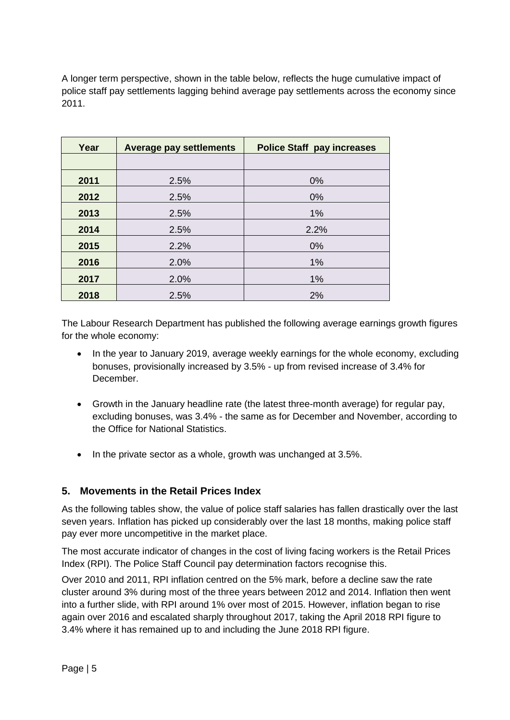A longer term perspective, shown in the table below, reflects the huge cumulative impact of police staff pay settlements lagging behind average pay settlements across the economy since 2011.

| Year | <b>Average pay settlements</b> | <b>Police Staff pay increases</b> |  |
|------|--------------------------------|-----------------------------------|--|
|      |                                |                                   |  |
| 2011 | 2.5%                           | 0%                                |  |
| 2012 | 2.5%                           | 0%                                |  |
| 2013 | 2.5%                           | 1%                                |  |
| 2014 | 2.5%                           | 2.2%                              |  |
| 2015 | 2.2%                           | 0%                                |  |
| 2016 | 2.0%                           | 1%                                |  |
| 2017 | 2.0%                           | 1%                                |  |
| 2018 | 2.5%                           | 2%                                |  |

The Labour Research Department has published the following average earnings growth figures for the whole economy:

- In the year to January 2019, average weekly earnings for the whole economy, excluding bonuses, provisionally increased by 3.5% - up from revised increase of 3.4% for December.
- Growth in the January headline rate (the latest three-month average) for regular pay, excluding bonuses, was 3.4% - the same as for December and November, according to the Office for National Statistics.
- In the private sector as a whole, growth was unchanged at 3.5%.

### **5. Movements in the Retail Prices Index**

As the following tables show, the value of police staff salaries has fallen drastically over the last seven years. Inflation has picked up considerably over the last 18 months, making police staff pay ever more uncompetitive in the market place.

The most accurate indicator of changes in the cost of living facing workers is the Retail Prices Index (RPI). The Police Staff Council pay determination factors recognise this.

Over 2010 and 2011, RPI inflation centred on the 5% mark, before a decline saw the rate cluster around 3% during most of the three years between 2012 and 2014. Inflation then went into a further slide, with RPI around 1% over most of 2015. However, inflation began to rise again over 2016 and escalated sharply throughout 2017, taking the April 2018 RPI figure to 3.4% where it has remained up to and including the June 2018 RPI figure.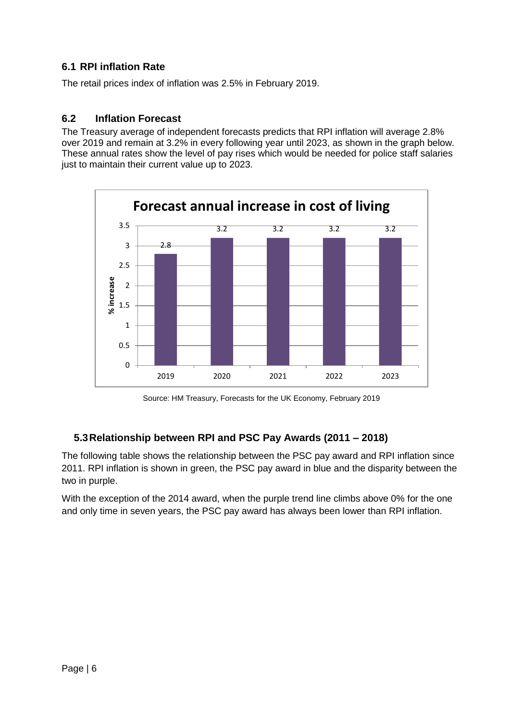#### **6.1 RPI inflation Rate**

The retail prices index of inflation was 2.5% in February 2019.

#### **6.2 Inflation Forecast**

The Treasury average of independent forecasts predicts that RPI inflation will average 2.8% over 2019 and remain at 3.2% in every following year until 2023, as shown in the graph below. These annual rates show the level of pay rises which would be needed for police staff salaries just to maintain their current value up to 2023.



Source: HM Treasury, Forecasts for the UK Economy, February 2019

### **5.3Relationship between RPI and PSC Pay Awards (2011 – 2018)**

The following table shows the relationship between the PSC pay award and RPI inflation since 2011. RPI inflation is shown in green, the PSC pay award in blue and the disparity between the two in purple.

With the exception of the 2014 award, when the purple trend line climbs above 0% for the one and only time in seven years, the PSC pay award has always been lower than RPI inflation.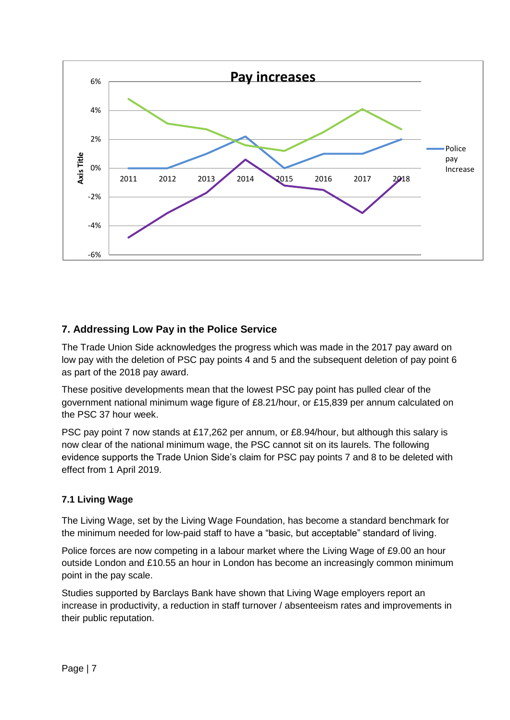

# **7. Addressing Low Pay in the Police Service**

The Trade Union Side acknowledges the progress which was made in the 2017 pay award on low pay with the deletion of PSC pay points 4 and 5 and the subsequent deletion of pay point 6 as part of the 2018 pay award.

These positive developments mean that the lowest PSC pay point has pulled clear of the government national minimum wage figure of £8.21/hour, or £15,839 per annum calculated on the PSC 37 hour week.

PSC pay point 7 now stands at £17,262 per annum, or £8.94/hour, but although this salary is now clear of the national minimum wage, the PSC cannot sit on its laurels. The following evidence supports the Trade Union Side's claim for PSC pay points 7 and 8 to be deleted with effect from 1 April 2019.

### **7.1 Living Wage**

The Living Wage, set by the Living Wage Foundation, has become a standard benchmark for the minimum needed for low-paid staff to have a "basic, but acceptable" standard of living.

Police forces are now competing in a labour market where the Living Wage of £9.00 an hour outside London and £10.55 an hour in London has become an increasingly common minimum point in the pay scale.

Studies supported by Barclays Bank have shown that Living Wage employers report an increase in productivity, a reduction in staff turnover / absenteeism rates and improvements in their public reputation.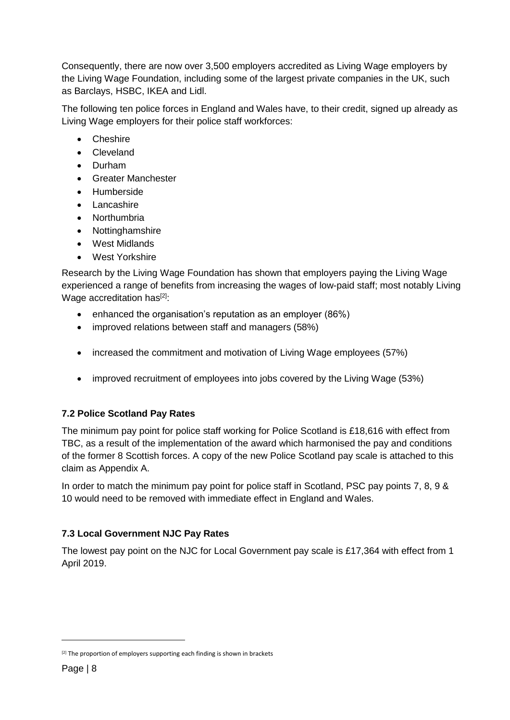Consequently, there are now over 3,500 employers accredited as Living Wage employers by the Living Wage Foundation, including some of the largest private companies in the UK, such as Barclays, HSBC, IKEA and Lidl.

The following ten police forces in England and Wales have, to their credit, signed up already as Living Wage employers for their police staff workforces:

- Cheshire
- Cleveland
- Durham
- Greater Manchester
- Humberside
- Lancashire
- Northumbria
- Nottinghamshire
- West Midlands
- West Yorkshire

Research by the Living Wage Foundation has shown that employers paying the Living Wage experienced a range of benefits from increasing the wages of low-paid staff; most notably Living Wage accreditation has<sup>[2]</sup>:

- enhanced the organisation's reputation as an employer (86%)
- improved relations between staff and managers (58%)
- increased the commitment and motivation of Living Wage employees (57%)
- improved recruitment of employees into jobs covered by the Living Wage (53%)

### **7.2 Police Scotland Pay Rates**

The minimum pay point for police staff working for Police Scotland is £18,616 with effect from TBC, as a result of the implementation of the award which harmonised the pay and conditions of the former 8 Scottish forces. A copy of the new Police Scotland pay scale is attached to this claim as Appendix A.

In order to match the minimum pay point for police staff in Scotland, PSC pay points 7, 8, 9 & 10 would need to be removed with immediate effect in England and Wales.

### **7.3 Local Government NJC Pay Rates**

The lowest pay point on the NJC for Local Government pay scale is £17,364 with effect from 1 April 2019.

-

<sup>&</sup>lt;sup>[2]</sup> The proportion of employers supporting each finding is shown in brackets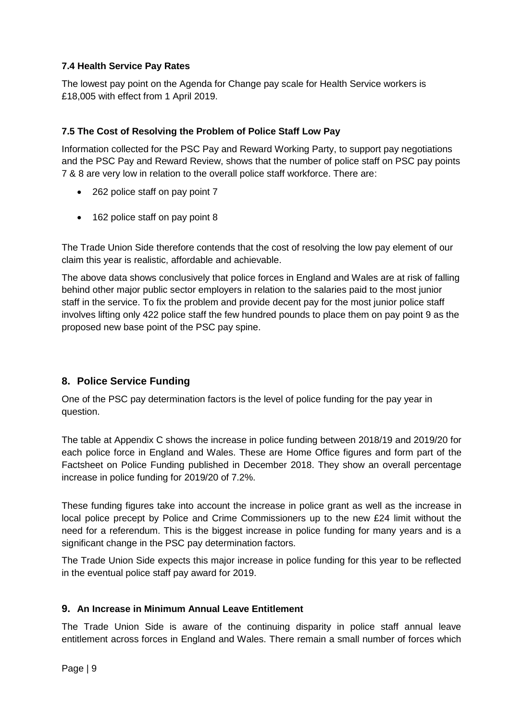#### **7.4 Health Service Pay Rates**

The lowest pay point on the Agenda for Change pay scale for Health Service workers is £18,005 with effect from 1 April 2019.

#### **7.5 The Cost of Resolving the Problem of Police Staff Low Pay**

Information collected for the PSC Pay and Reward Working Party, to support pay negotiations and the PSC Pay and Reward Review, shows that the number of police staff on PSC pay points 7 & 8 are very low in relation to the overall police staff workforce. There are:

- 262 police staff on pay point 7
- 162 police staff on pay point 8

The Trade Union Side therefore contends that the cost of resolving the low pay element of our claim this year is realistic, affordable and achievable.

The above data shows conclusively that police forces in England and Wales are at risk of falling behind other major public sector employers in relation to the salaries paid to the most junior staff in the service. To fix the problem and provide decent pay for the most junior police staff involves lifting only 422 police staff the few hundred pounds to place them on pay point 9 as the proposed new base point of the PSC pay spine.

### **8. Police Service Funding**

One of the PSC pay determination factors is the level of police funding for the pay year in question.

The table at Appendix C shows the increase in police funding between 2018/19 and 2019/20 for each police force in England and Wales. These are Home Office figures and form part of the Factsheet on Police Funding published in December 2018. They show an overall percentage increase in police funding for 2019/20 of 7.2%.

These funding figures take into account the increase in police grant as well as the increase in local police precept by Police and Crime Commissioners up to the new £24 limit without the need for a referendum. This is the biggest increase in police funding for many years and is a significant change in the PSC pay determination factors.

The Trade Union Side expects this major increase in police funding for this year to be reflected in the eventual police staff pay award for 2019.

#### **9. An Increase in Minimum Annual Leave Entitlement**

The Trade Union Side is aware of the continuing disparity in police staff annual leave entitlement across forces in England and Wales. There remain a small number of forces which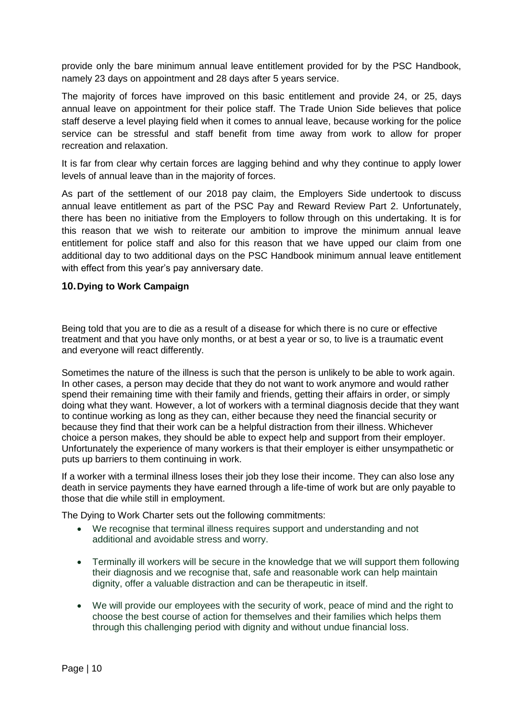provide only the bare minimum annual leave entitlement provided for by the PSC Handbook, namely 23 days on appointment and 28 days after 5 years service.

The majority of forces have improved on this basic entitlement and provide 24, or 25, days annual leave on appointment for their police staff. The Trade Union Side believes that police staff deserve a level playing field when it comes to annual leave, because working for the police service can be stressful and staff benefit from time away from work to allow for proper recreation and relaxation.

It is far from clear why certain forces are lagging behind and why they continue to apply lower levels of annual leave than in the majority of forces.

As part of the settlement of our 2018 pay claim, the Employers Side undertook to discuss annual leave entitlement as part of the PSC Pay and Reward Review Part 2. Unfortunately, there has been no initiative from the Employers to follow through on this undertaking. It is for this reason that we wish to reiterate our ambition to improve the minimum annual leave entitlement for police staff and also for this reason that we have upped our claim from one additional day to two additional days on the PSC Handbook minimum annual leave entitlement with effect from this year's pay anniversary date.

#### **10.Dying to Work Campaign**

Being told that you are to die as a result of a disease for which there is no cure or effective treatment and that you have only months, or at best a year or so, to live is a traumatic event and everyone will react differently.

Sometimes the nature of the illness is such that the person is unlikely to be able to work again. In other cases, a person may decide that they do not want to work anymore and would rather spend their remaining time with their family and friends, getting their affairs in order, or simply doing what they want. However, a lot of workers with a terminal diagnosis decide that they want to continue working as long as they can, either because they need the financial security or because they find that their work can be a helpful distraction from their illness. Whichever choice a person makes, they should be able to expect help and support from their employer. Unfortunately the experience of many workers is that their employer is either unsympathetic or puts up barriers to them continuing in work.

If a worker with a terminal illness loses their job they lose their income. They can also lose any death in service payments they have earned through a life-time of work but are only payable to those that die while still in employment.

The Dying to Work Charter sets out the following commitments:

- We recognise that terminal illness requires support and understanding and not additional and avoidable stress and worry.
- Terminally ill workers will be secure in the knowledge that we will support them following their diagnosis and we recognise that, safe and reasonable work can help maintain dignity, offer a valuable distraction and can be therapeutic in itself.
- We will provide our employees with the security of work, peace of mind and the right to choose the best course of action for themselves and their families which helps them through this challenging period with dignity and without undue financial loss.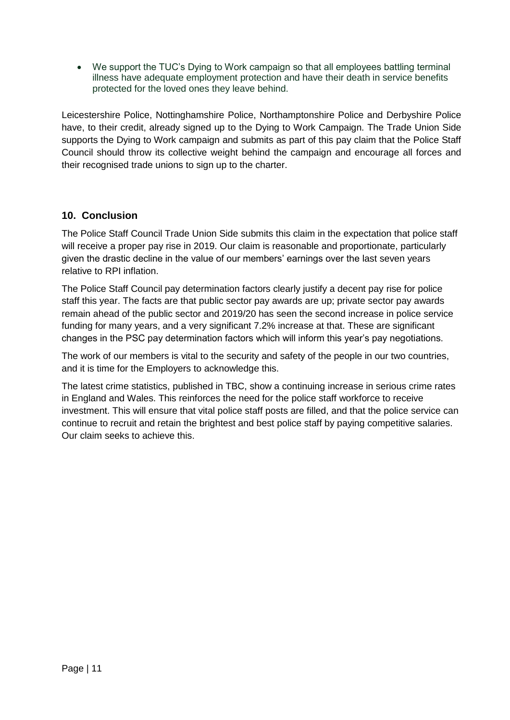• We support the TUC's Dying to Work campaign so that all employees battling terminal illness have adequate employment protection and have their death in service benefits protected for the loved ones they leave behind.

Leicestershire Police, Nottinghamshire Police, Northamptonshire Police and Derbyshire Police have, to their credit, already signed up to the Dying to Work Campaign. The Trade Union Side supports the Dying to Work campaign and submits as part of this pay claim that the Police Staff Council should throw its collective weight behind the campaign and encourage all forces and their recognised trade unions to sign up to the charter.

# **10. Conclusion**

The Police Staff Council Trade Union Side submits this claim in the expectation that police staff will receive a proper pay rise in 2019. Our claim is reasonable and proportionate, particularly given the drastic decline in the value of our members' earnings over the last seven years relative to RPI inflation.

The Police Staff Council pay determination factors clearly justify a decent pay rise for police staff this year. The facts are that public sector pay awards are up; private sector pay awards remain ahead of the public sector and 2019/20 has seen the second increase in police service funding for many years, and a very significant 7.2% increase at that. These are significant changes in the PSC pay determination factors which will inform this year's pay negotiations.

The work of our members is vital to the security and safety of the people in our two countries, and it is time for the Employers to acknowledge this.

The latest crime statistics, published in TBC, show a continuing increase in serious crime rates in England and Wales. This reinforces the need for the police staff workforce to receive investment. This will ensure that vital police staff posts are filled, and that the police service can continue to recruit and retain the brightest and best police staff by paying competitive salaries. Our claim seeks to achieve this.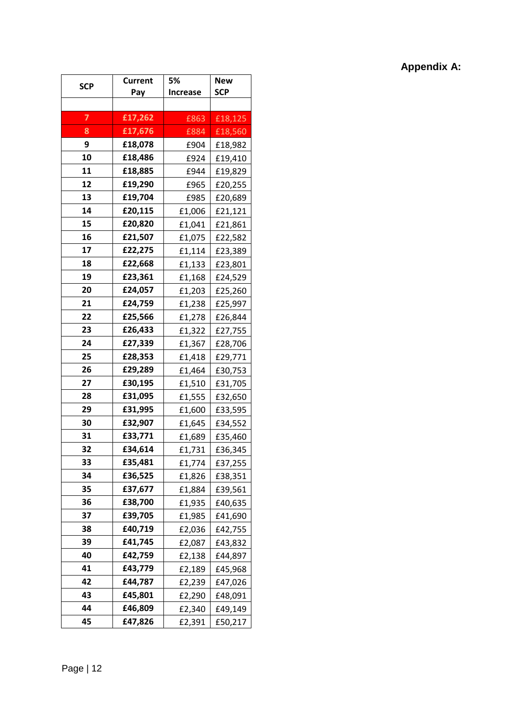# **Appendix A:**

| <b>SCP</b> | Current | 5%              | <b>New</b> |  |
|------------|---------|-----------------|------------|--|
|            | Pay     | <b>Increase</b> | <b>SCP</b> |  |
|            |         |                 |            |  |
| 7          | £17,262 | £863            | £18,125    |  |
| 8          | £17,676 | £884            | £18,560    |  |
| 9          | £18,078 | £904            | £18,982    |  |
| 10         | £18,486 | £924            | £19,410    |  |
| 11         | £18,885 | £944            | £19,829    |  |
| 12         | £19,290 | £965            | £20,255    |  |
| 13         | £19,704 | £985            | £20,689    |  |
| 14         | £20,115 | £1,006          | £21,121    |  |
| 15         | £20,820 | £1,041          | £21,861    |  |
| 16         | £21,507 | £1,075          | £22,582    |  |
| 17         | £22,275 | £1,114          | £23,389    |  |
| 18         | £22,668 | £1,133          | £23,801    |  |
| 19         | £23,361 | £1,168          | £24,529    |  |
| 20         | £24,057 | £1,203          | £25,260    |  |
| 21         | £24,759 | £1,238          | £25,997    |  |
| 22         | £25,566 | £1,278          | £26,844    |  |
| 23         | £26,433 | £1,322          | £27,755    |  |
| 24         | £27,339 | £1,367          | £28,706    |  |
| 25         | £28,353 | £1,418          | £29,771    |  |
| 26         | £29,289 | £1,464          | £30,753    |  |
| 27         | £30,195 | £1,510          | £31,705    |  |
| 28         | £31,095 | £1,555          | £32,650    |  |
| 29         | £31,995 | £1,600          | £33,595    |  |
| 30         | £32,907 | £1,645          | £34,552    |  |
| 31         | £33,771 | £1,689          | £35,460    |  |
| 32         | £34,614 | £1,731          | £36,345    |  |
| 33         | £35,481 | £1,774          | £37,255    |  |
| 34         | £36,525 | £1,826          | £38,351    |  |
| 35         | £37,677 | £1,884          | £39,561    |  |
| 36         | £38,700 | £1,935          | £40,635    |  |
| 37         | £39,705 | £1,985          | £41,690    |  |
| 38         | £40,719 | £2,036          | £42,755    |  |
| 39         | £41,745 | £2,087          | £43,832    |  |
| 40         | £42,759 | £2,138          | £44,897    |  |
| 41         | £43,779 | £2,189          | £45,968    |  |
| 42         | £44,787 | £2,239          | £47,026    |  |
| 43         | £45,801 | £2,290          | £48,091    |  |
| 44         | £46,809 | £2,340          | £49,149    |  |
| 45         | £47,826 | £2,391          | £50,217    |  |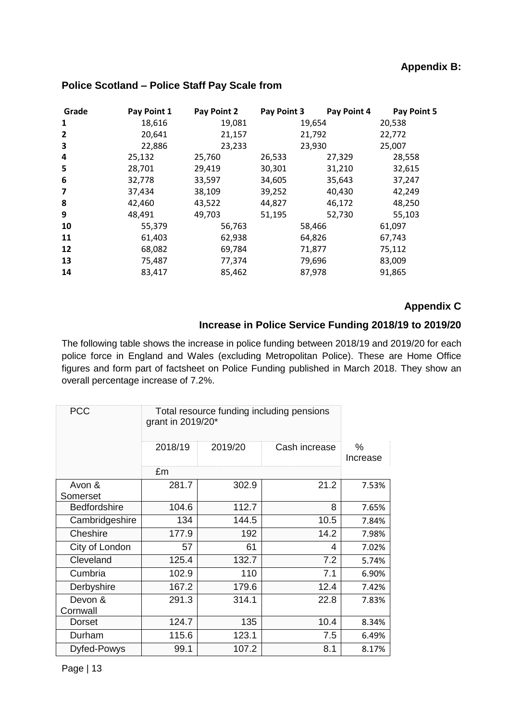# **Appendix B:**

| Grade                   | Pay Point 1 | Pay Point 2 | Pay Point 3 | Pay Point 4 | Pay Point 5 |
|-------------------------|-------------|-------------|-------------|-------------|-------------|
| 1                       | 18,616      | 19,081      |             | 19,654      | 20,538      |
| $\overline{2}$          | 20,641      | 21,157      |             | 21,792      | 22,772      |
| 3                       | 22,886      | 23,233      |             | 23,930      | 25,007      |
| 4                       | 25,132      | 25,760      | 26,533      | 27,329      | 28,558      |
| 5                       | 28,701      | 29,419      | 30,301      | 31,210      | 32,615      |
| 6                       | 32,778      | 33,597      | 34,605      | 35,643      | 37,247      |
| $\overline{\mathbf{z}}$ | 37,434      | 38,109      | 39,252      | 40,430      | 42,249      |
| 8                       | 42,460      | 43,522      | 44,827      | 46,172      | 48,250      |
| 9                       | 48,491      | 49,703      | 51,195      | 52,730      | 55,103      |
| 10                      | 55,379      | 56,763      |             | 58,466      | 61,097      |
| 11                      | 61,403      | 62,938      |             | 64,826      | 67,743      |
| 12                      | 68,082      | 69,784      |             | 71,877      | 75,112      |
| 13                      | 75,487      | 77,374      |             | 79,696      | 83,009      |
| 14                      | 83,417      | 85,462      |             | 87,978      | 91,865      |

#### **Police Scotland – Police Staff Pay Scale from**

# **Appendix C**

### **Increase in Police Service Funding 2018/19 to 2019/20**

The following table shows the increase in police funding between 2018/19 and 2019/20 for each police force in England and Wales (excluding Metropolitan Police). These are Home Office figures and form part of factsheet on Police Funding published in March 2018. They show an overall percentage increase of 7.2%.

| <b>PCC</b>          | Total resource funding including pensions<br>grant in 2019/20* |         |               |                  |
|---------------------|----------------------------------------------------------------|---------|---------------|------------------|
|                     | 2018/19                                                        | 2019/20 | Cash increase | $\%$<br>Increase |
|                     | £m                                                             |         |               |                  |
| Avon &<br>Somerset  | 281.7                                                          | 302.9   | 21.2          | 7.53%            |
| <b>Bedfordshire</b> | 104.6                                                          | 112.7   | 8             | 7.65%            |
| Cambridgeshire      | 134                                                            | 144.5   | 10.5          | 7.84%            |
| Cheshire            | 177.9                                                          | 192     | 14.2          | 7.98%            |
| City of London      | 57                                                             | 61      | 4             | 7.02%            |
| Cleveland           | 125.4                                                          | 132.7   | 7.2           | 5.74%            |
| Cumbria             | 102.9                                                          | 110     | 7.1           | 6.90%            |
| Derbyshire          | 167.2                                                          | 179.6   | 12.4          | 7.42%            |
| Devon &<br>Cornwall | 291.3                                                          | 314.1   | 22.8          | 7.83%            |
| Dorset              | 124.7                                                          | 135     | 10.4          | 8.34%            |
| Durham              | 115.6                                                          | 123.1   | 7.5           | 6.49%            |
| Dyfed-Powys         | 99.1                                                           | 107.2   | 8.1           | 8.17%            |